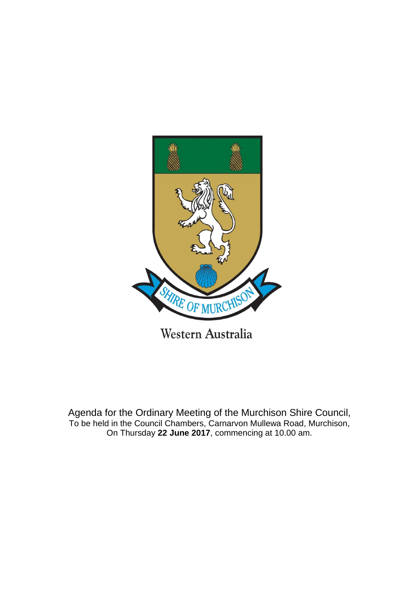

Agenda for the Ordinary Meeting of the Murchison Shire Council, To be held in the Council Chambers, Carnarvon Mullewa Road, Murchison, On Thursday **22 June 2017**, commencing at 10.00 am.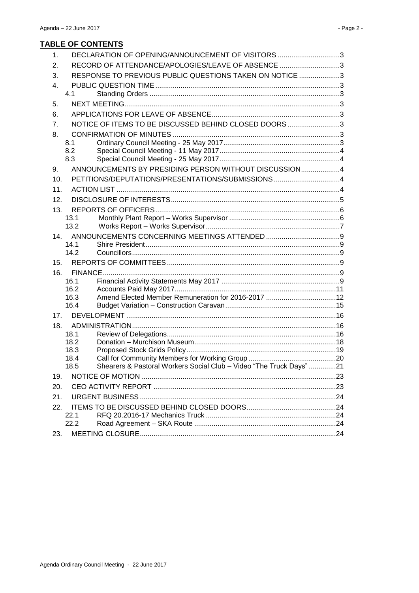| $\mathbf{1}$ . |              | DECLARATION OF OPENING/ANNOUNCEMENT OF VISITORS 3                   |  |
|----------------|--------------|---------------------------------------------------------------------|--|
| 2.             |              | RECORD OF ATTENDANCE/APOLOGIES/LEAVE OF ABSENCE 3                   |  |
| 3.             |              | RESPONSE TO PREVIOUS PUBLIC QUESTIONS TAKEN ON NOTICE 3             |  |
| 4.             |              |                                                                     |  |
|                | 4.1          |                                                                     |  |
| 5.             |              |                                                                     |  |
| 6.             |              |                                                                     |  |
| 7.             |              | NOTICE OF ITEMS TO BE DISCUSSED BEHIND CLOSED DOORS3                |  |
| 8.             |              |                                                                     |  |
|                | 8.1          |                                                                     |  |
|                | 8.2          |                                                                     |  |
|                | 8.3          |                                                                     |  |
| 9.             |              | ANNOUNCEMENTS BY PRESIDING PERSON WITHOUT DISCUSSION4               |  |
| 10.            |              | PETITIONS/DEPUTATIONS/PRESENTATIONS/SUBMISSIONS 4                   |  |
| 11.            |              |                                                                     |  |
| 12.            |              |                                                                     |  |
| 13.            |              |                                                                     |  |
|                | 13.1         |                                                                     |  |
|                | 13.2         |                                                                     |  |
| 14.            | 14.1         |                                                                     |  |
|                | 14.2         |                                                                     |  |
| 15.            |              |                                                                     |  |
| 16.            |              |                                                                     |  |
|                | 16.1         |                                                                     |  |
|                | 16.2         |                                                                     |  |
|                | 16.3         | Amend Elected Member Remuneration for 2016-2017 12                  |  |
|                | 16.4         |                                                                     |  |
| 17.            |              |                                                                     |  |
| 18.            |              |                                                                     |  |
|                | 18.1         |                                                                     |  |
|                | 18.2<br>18.3 |                                                                     |  |
|                | 18.4         |                                                                     |  |
|                | 18.5         | Shearers & Pastoral Workers Social Club - Video "The Truck Days" 21 |  |
| 19.            |              |                                                                     |  |
| 20.            |              |                                                                     |  |
| 21.            |              |                                                                     |  |
|                |              |                                                                     |  |
| 22.            | 22.1         |                                                                     |  |
|                | 22.2         |                                                                     |  |
| 23.            |              |                                                                     |  |
|                |              |                                                                     |  |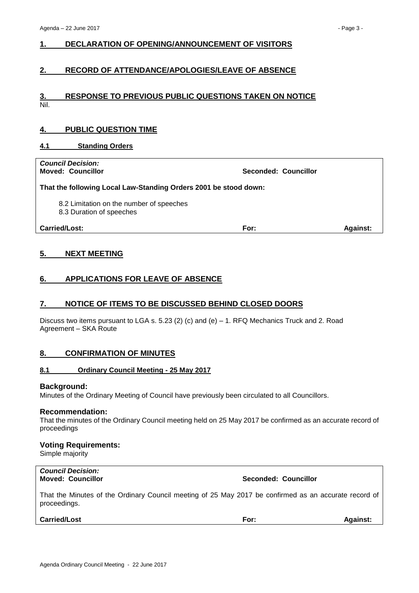# <span id="page-2-0"></span>**1. DECLARATION OF OPENING/ANNOUNCEMENT OF VISITORS**

# <span id="page-2-1"></span>**2. RECORD OF ATTENDANCE/APOLOGIES/LEAVE OF ABSENCE**

#### <span id="page-2-2"></span>**3. RESPONSE TO PREVIOUS PUBLIC QUESTIONS TAKEN ON NOTICE** Nil.

# <span id="page-2-3"></span>**4. PUBLIC QUESTION TIME**

#### <span id="page-2-4"></span>**4.1 Standing Orders**

| <b>Council Decision:</b><br><b>Moved: Councillor</b>                 | <b>Seconded: Councillor</b> |
|----------------------------------------------------------------------|-----------------------------|
| That the following Local Law-Standing Orders 2001 be stood down:     |                             |
| 8.2 Limitation on the number of speeches<br>8.3 Duration of speeches |                             |
| Carried/Lost:                                                        | <b>Against:</b><br>For:     |

# <span id="page-2-5"></span>**5. NEXT MEETING**

# <span id="page-2-6"></span>**6. APPLICATIONS FOR LEAVE OF ABSENCE**

#### <span id="page-2-7"></span>**7. NOTICE OF ITEMS TO BE DISCUSSED BEHIND CLOSED DOORS**

Discuss two items pursuant to LGA s. 5.23 (2) (c) and (e) – 1. RFQ Mechanics Truck and 2. Road Agreement – SKA Route

#### <span id="page-2-8"></span>**8. CONFIRMATION OF MINUTES**

#### <span id="page-2-9"></span>**8.1 Ordinary Council Meeting - 25 May 2017**

#### **Background:**

Minutes of the Ordinary Meeting of Council have previously been circulated to all Councillors.

#### **Recommendation:**

That the minutes of the Ordinary Council meeting held on 25 May 2017 be confirmed as an accurate record of proceedings

#### **Voting Requirements:**

Simple majority

# *Council Decision:*

#### **Moved: Councillor Seconded: Councillor**

That the Minutes of the Ordinary Council meeting of 25 May 2017 be confirmed as an accurate record of proceedings.

#### **Carried/Lost For: Against:**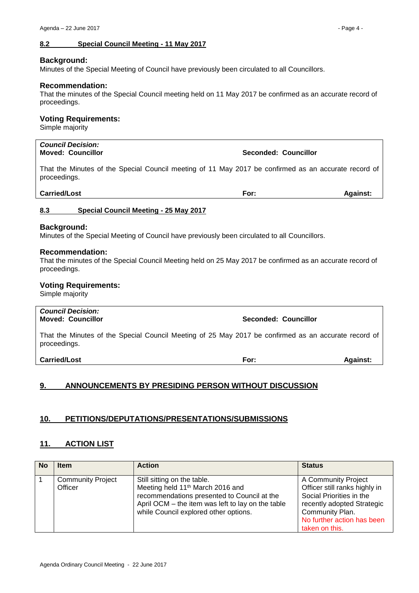#### <span id="page-3-0"></span>**8.2 Special Council Meeting - 11 May 2017**

#### **Background:**

Minutes of the Special Meeting of Council have previously been circulated to all Councillors.

#### **Recommendation:**

That the minutes of the Special Council meeting held on 11 May 2017 be confirmed as an accurate record of proceedings.

#### **Voting Requirements:**

Simple majority

# *Council Decision:*

That the Minutes of the Special Council meeting of 11 May 2017 be confirmed as an accurate record of proceedings.

**Moved: Councillor Seconded: Councillor**

#### **Carried/Lost For: Against:**

#### <span id="page-3-1"></span>**8.3 Special Council Meeting - 25 May 2017**

#### **Background:**

Minutes of the Special Meeting of Council have previously been circulated to all Councillors.

#### **Recommendation:**

That the minutes of the Special Council Meeting held on 25 May 2017 be confirmed as an accurate record of proceedings.

#### **Voting Requirements:**

Simple majority

# *Council Decision:* **Moved: Councillor Seconded: Councillor** That the Minutes of the Special Council Meeting of 25 May 2017 be confirmed as an accurate record of proceedings. **Carried/Lost For: Against:**

# <span id="page-3-2"></span>**9. ANNOUNCEMENTS BY PRESIDING PERSON WITHOUT DISCUSSION**

# <span id="page-3-3"></span>**10. PETITIONS/DEPUTATIONS/PRESENTATIONS/SUBMISSIONS**

#### <span id="page-3-4"></span>**11. ACTION LIST**

| <b>No</b> | <b>Item</b>                         | <b>Action</b>                                                                                                                                                                                                            | <b>Status</b>                                                                                                                                                                     |
|-----------|-------------------------------------|--------------------------------------------------------------------------------------------------------------------------------------------------------------------------------------------------------------------------|-----------------------------------------------------------------------------------------------------------------------------------------------------------------------------------|
|           | <b>Community Project</b><br>Officer | Still sitting on the table.<br>Meeting held 11 <sup>th</sup> March 2016 and<br>recommendations presented to Council at the<br>April OCM - the item was left to lay on the table<br>while Council explored other options. | A Community Project<br>Officer still ranks highly in<br>Social Priorities in the<br>recently adopted Strategic<br>Community Plan.<br>No further action has been<br>taken on this. |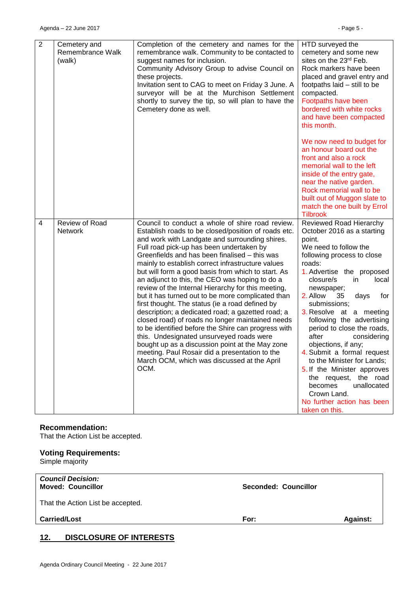| $\overline{2}$ | Cemetery and<br>Remembrance Walk<br>(walk) | Completion of the cemetery and names for the<br>remembrance walk. Community to be contacted to<br>suggest names for inclusion.<br>Community Advisory Group to advise Council on<br>these projects.<br>Invitation sent to CAG to meet on Friday 3 June. A<br>surveyor will be at the Murchison Settlement<br>shortly to survey the tip, so will plan to have the<br>Cemetery done as well.                                                                                                                                                                                                                                                                                                                                                                                                                                                                                                                                                                 | HTD surveyed the<br>cemetery and some new<br>sites on the 23rd Feb.<br>Rock markers have been<br>placed and gravel entry and<br>footpaths laid - still to be<br>compacted.<br>Footpaths have been<br>bordered with white rocks<br>and have been compacted<br>this month.<br>We now need to budget for<br>an honour board out the<br>front and also a rock<br>memorial wall to the left<br>inside of the entry gate,<br>near the native garden.<br>Rock memorial wall to be<br>built out of Muggon slate to<br>match the one built by Errol<br><b>Tilbrook</b>                                               |
|----------------|--------------------------------------------|-----------------------------------------------------------------------------------------------------------------------------------------------------------------------------------------------------------------------------------------------------------------------------------------------------------------------------------------------------------------------------------------------------------------------------------------------------------------------------------------------------------------------------------------------------------------------------------------------------------------------------------------------------------------------------------------------------------------------------------------------------------------------------------------------------------------------------------------------------------------------------------------------------------------------------------------------------------|-------------------------------------------------------------------------------------------------------------------------------------------------------------------------------------------------------------------------------------------------------------------------------------------------------------------------------------------------------------------------------------------------------------------------------------------------------------------------------------------------------------------------------------------------------------------------------------------------------------|
| 4              | Review of Road<br>Network                  | Council to conduct a whole of shire road review.<br>Establish roads to be closed/position of roads etc.<br>and work with Landgate and surrounding shires.<br>Full road pick-up has been undertaken by<br>Greenfields and has been finalised - this was<br>mainly to establish correct infrastructure values<br>but will form a good basis from which to start. As<br>an adjunct to this, the CEO was hoping to do a<br>review of the Internal Hierarchy for this meeting,<br>but it has turned out to be more complicated than<br>first thought. The status (ie a road defined by<br>description; a dedicated road; a gazetted road; a<br>closed road) of roads no longer maintained needs<br>to be identified before the Shire can progress with<br>this. Undesignated unsurveyed roads were<br>bought up as a discussion point at the May zone<br>meeting. Paul Rosair did a presentation to the<br>March OCM, which was discussed at the April<br>OCM. | Reviewed Road Hierarchy<br>October 2016 as a starting<br>point.<br>We need to follow the<br>following process to close<br>roads:<br>1. Advertise the proposed<br>closure/s<br>local<br>in.<br>newspaper;<br>2. Allow<br>35<br>days<br>for<br>submissions;<br>3. Resolve at a meeting<br>following the advertising<br>period to close the roads,<br>after<br>considering<br>objections, if any;<br>4. Submit a formal request<br>to the Minister for Lands;<br>5. If the Minister approves<br>the request, the road<br>becomes<br>unallocated<br>Crown Land.<br>No further action has been<br>taken on this. |

#### **Recommendation:**

That the Action List be accepted.

# **Voting Requirements:**

Simple majority

| <b>Council Decision:</b> |  |
|--------------------------|--|
| <b>Moved: Councillor</b> |  |

That the Action List be accepted.

**Carried/Lost For: Against:**

**Moved: Councillor Seconded: Councillor**

# <span id="page-4-0"></span>**12. DISCLOSURE OF INTERESTS**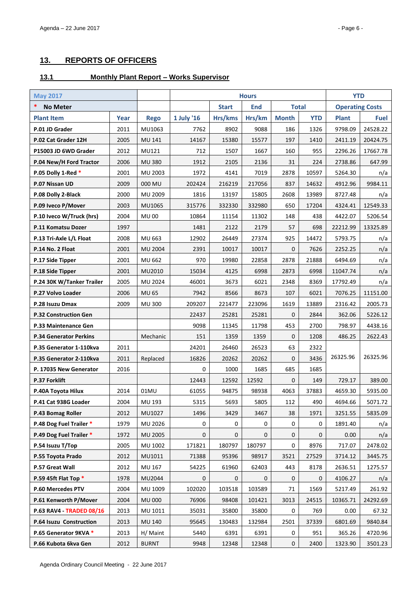# <span id="page-5-0"></span>**13. REPORTS OF OFFICERS**

# <span id="page-5-1"></span>**13.1 Monthly Plant Report – Works Supervisor**

| <b>May 2017</b>                 |      |                | <b>Hours</b> |              |              |              |            | <b>YTD</b>             |             |
|---------------------------------|------|----------------|--------------|--------------|--------------|--------------|------------|------------------------|-------------|
| *<br><b>No Meter</b>            |      |                |              | <b>Start</b> | <b>End</b>   | <b>Total</b> |            | <b>Operating Costs</b> |             |
| <b>Plant Item</b>               | Year | <b>Rego</b>    | 1 July '16   | Hrs/kms      | Hrs/km       | <b>Month</b> | <b>YTD</b> | <b>Plant</b>           | <b>Fuel</b> |
| P.01 JD Grader                  | 2011 | MU1063         | 7762         | 8902         | 9088         | 186          | 1326       | 9798.09                | 24528.22    |
| P.02 Cat Grader 12H             | 2005 | <b>MU 141</b>  | 14167        | 15380        | 15577        | 197          | 1410       | 2411.19                | 20424.75    |
| P15003 JD 6WD Grader            | 2012 | MU121          | 712          | 1507         | 1667         | 160          | 955        | 2296.26                | 17667.78    |
| P.04 New/H Ford Tractor         | 2006 | <b>MU 380</b>  | 1912         | 2105         | 2136         | 31           | 224        | 2738.86                | 647.99      |
| P.05 Dolly 1-Red *              | 2001 | MU 2003        | 1972         | 4141         | 7019         | 2878         | 10597      | 5264.30                | n/a         |
| P.07 Nissan UD                  | 2009 | 000 MU         | 202424       | 216219       | 217056       | 837          | 14632      | 4912.96                | 9984.11     |
| P.08 Dolly 2-Black              | 2000 | MU 2009        | 1816         | 13197        | 15805        | 2608         | 13989      | 8727.48                | n/a         |
| P.09 Iveco P/Mover              | 2003 | MU1065         | 315776       | 332330       | 332980       | 650          | 17204      | 4324.41                | 12549.33    |
| P.10 Iveco W/Truck (hrs)        | 2004 | <b>MU00</b>    | 10864        | 11154        | 11302        | 148          | 438        | 4422.07                | 5206.54     |
| P.11 Komatsu Dozer              | 1997 |                | 1481         | 2122         | 2179         | 57           | 698        | 22212.99               | 13325.89    |
| P.13 Tri-Axle L/L Float         | 2008 | MU 663         | 12902        | 26449        | 27374        | 925          | 14472      | 5793.75                | n/a         |
| P.14 No. 2 Float                | 2001 | <b>MU 2004</b> | 2391         | 10017        | 10017        | 0            | 7626       | 2252.25                | n/a         |
| P.17 Side Tipper                | 2001 | MU 662         | 970          | 19980        | 22858        | 2878         | 21888      | 6494.69                | n/a         |
| P.18 Side Tipper                | 2001 | MU2010         | 15034        | 4125         | 6998         | 2873         | 6998       | 11047.74               | n/a         |
| P.24 30K W/Tanker Trailer       | 2005 | MU 2024        | 46001        | 3673         | 6021         | 2348         | 8369       | 17792.49               | n/a         |
| P.27 Volvo Loader               | 2006 | <b>MU 65</b>   | 7942         | 8566         | 8673         | 107          | 6021       | 7076.25                | 11151.00    |
| P.28 Isuzu Dmax                 | 2009 | <b>MU300</b>   | 209207       | 221477       | 223096       | 1619         | 13889      | 2316.42                | 2005.73     |
| <b>P.32 Construction Gen</b>    |      |                | 22437        | 25281        | 25281        | 0            | 2844       | 362.06                 | 5226.12     |
| P.33 Maintenance Gen            |      |                | 9098         | 11345        | 11798        | 453          | 2700       | 798.97                 | 4438.16     |
| <b>P.34 Generator Perkins</b>   |      | Mechanic       | 151          | 1359         | 1359         | 0            | 1208       | 486.25                 | 2622.43     |
| P.35 Generator 1-110kva         | 2011 |                | 24201        | 26460        | 26523        | 63           | 2322       |                        |             |
| P.35 Generator 2-110kva         | 2011 | Replaced       | 16826        | 20262        | 20262        | $\mathbf 0$  | 3436       | 26325.96               | 26325.96    |
| P. 17035 New Generator          | 2016 |                | 0            | 1000         | 1685         | 685          | 1685       |                        |             |
| P.37 Forklift                   |      |                | 12443        | 12592        | 12592        | $\mathbf 0$  | 149        | 729.17                 | 389.00      |
| P.40A Toyota Hilux              | 2014 | 01MU           | 61055        | 94875        | 98938        | 4063         | 37883      | 4659.30                | 5935.00     |
| P.41 Cat 938G Loader            | 2004 | MU 193         | 5315         | 5693         | 5805         | 112          | 490        | 4694.66                | 5071.72     |
| P.43 Bomag Roller               | 2012 | MU1027         | 1496         | 3429         | 3467         | 38           | 1971       | 3251.55                | 5835.09     |
| P.48 Dog Fuel Trailer *         | 1979 | MU 2026        | 0            | 0            | $\mathbf{0}$ | $\mathbf 0$  | 0          | 1891.40                | n/a         |
| P.49 Dog Fuel Trailer *         | 1972 | MU 2005        | 0            | 0            | 0            | $\mathbf 0$  | 0          | 0.00                   | n/a         |
| P.54 Isuzu T/Top                | 2005 | MU 1002        | 171821       | 180797       | 180797       | 0            | 8976       | 717.07                 | 2478.02     |
| P.55 Toyota Prado               | 2012 | MU1011         | 71388        | 95396        | 98917        | 3521         | 27529      | 3714.12                | 3445.75     |
| P.57 Great Wall                 | 2012 | MU 167         | 54225        | 61960        | 62403        | 443          | 8178       | 2636.51                | 1275.57     |
| P.59 45ft Flat Top *            | 1978 | MU2044         | 0            | $\pmb{0}$    | 0            | 0            | 0          | 4106.27                | n/a         |
| P.60 Mercedes PTV<br>2004       |      | MU 1009        | 102020       | 103518       | 103589       | 71           | 1569       | 5217.49                | 261.92      |
| P.61 Kenworth P/Mover           | 2004 | <b>MU 000</b>  | 76906        | 98408        | 101421       | 3013         | 24515      | 10365.71               | 24292.69    |
| <b>P.63 RAV4 - TRADED 08/16</b> | 2013 | MU 1011        | 35031        | 35800        | 35800        | 0            | 769        | 0.00                   | 67.32       |
| P.64 Isuzu Construction         | 2013 | <b>MU 140</b>  | 95645        | 130483       | 132984       | 2501         | 37339      | 6801.69                | 9840.84     |
| P.65 Generator 9KVA *           | 2013 | H/ Maint       | 5440         | 6391         | 6391         | 0            | 951        | 365.26                 | 4720.96     |
| P.66 Kubota 6kva Gen            | 2012 | <b>BURNT</b>   | 9948         | 12348        | 12348        | $\mathbf 0$  | 2400       | 1323.90                | 3501.23     |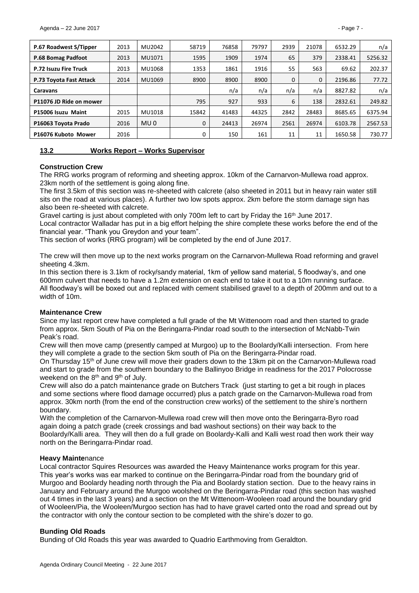| P.67 Roadwest S/Tipper  | 2013 | MU2042          | 58719        | 76858 | 79797 | 2939         | 21078 | 6532.29 | n/a     |
|-------------------------|------|-----------------|--------------|-------|-------|--------------|-------|---------|---------|
| P.68 Bomag Padfoot      | 2013 | MU1071          | 1595         | 1909  | 1974  | 65           | 379   | 2338.41 | 5256.32 |
| P.72 Isuzu Fire Truck   | 2013 | MU1068          | 1353         | 1861  | 1916  | 55           | 563   | 69.62   | 202.37  |
| P.73 Toyota Fast Attack | 2014 | MU1069          | 8900         | 8900  | 8900  | $\mathbf{0}$ | 0     | 2196.86 | 77.72   |
| Caravans                |      |                 |              | n/a   | n/a   | n/a          | n/a   | 8827.82 | n/a     |
| P11076 JD Ride on mower |      |                 | 795          | 927   | 933   | 6            | 138   | 2832.61 | 249.82  |
| P15006 Isuzu Maint      | 2015 | MU1018          | 15842        | 41483 | 44325 | 2842         | 28483 | 8685.65 | 6375.94 |
| P16063 Toyota Prado     | 2016 | MU <sub>0</sub> | $\mathbf{0}$ | 24413 | 26974 | 2561         | 26974 | 6103.78 | 2567.53 |
| P16076 Kuboto Mower     | 2016 |                 | 0            | 150   | 161   | 11           | 11    | 1650.58 | 730.77  |

<span id="page-6-0"></span>

| 13.2 | <b>Works Report - Works Supervisor</b> |
|------|----------------------------------------|
|------|----------------------------------------|

#### **Construction Crew**

The RRG works program of reforming and sheeting approx. 10km of the Carnarvon-Mullewa road approx. 23km north of the settlement is going along fine.

The first 3.5km of this section was re-sheeted with calcrete (also sheeted in 2011 but in heavy rain water still sits on the road at various places). A further two low spots approx. 2km before the storm damage sign has also been re-sheeted with calcrete.

Gravel carting is just about completed with only 700m left to cart by Friday the 16<sup>th</sup> June 2017.

Local contractor Walladar has put in a big effort helping the shire complete these works before the end of the financial year. "Thank you Greydon and your team".

This section of works (RRG program) will be completed by the end of June 2017.

The crew will then move up to the next works program on the Carnarvon-Mullewa Road reforming and gravel sheeting 4.3km.

In this section there is 3.1km of rocky/sandy material, 1km of yellow sand material, 5 floodway's, and one 600mm culvert that needs to have a 1.2m extension on each end to take it out to a 10m running surface. All floodway's will be boxed out and replaced with cement stabilised gravel to a depth of 200mm and out to a width of 10m.

#### **Maintenance Crew**

Since my last report crew have completed a full grade of the Mt Wittenoom road and then started to grade from approx. 5km South of Pia on the Beringarra-Pindar road south to the intersection of McNabb-Twin Peak's road.

Crew will then move camp (presently camped at Murgoo) up to the Boolardy/Kalli intersection. From here they will complete a grade to the section 5km south of Pia on the Beringarra-Pindar road.

On Thursday 15th of June crew will move their graders down to the 13km pit on the Carnarvon-Mullewa road and start to grade from the southern boundary to the Ballinyoo Bridge in readiness for the 2017 Polocrosse weekend on the 8<sup>th</sup> and 9<sup>th</sup> of July.

Crew will also do a patch maintenance grade on Butchers Track (just starting to get a bit rough in places and some sections where flood damage occurred) plus a patch grade on the Carnarvon-Mullewa road from approx. 30km north (from the end of the construction crew works) of the settlement to the shire's northern boundary.

With the completion of the Carnarvon-Mullewa road crew will then move onto the Beringarra-Byro road again doing a patch grade (creek crossings and bad washout sections) on their way back to the Boolardy/Kalli area. They will then do a full grade on Boolardy-Kalli and Kalli west road then work their way north on the Beringarra-Pindar road.

#### **Heavy Mainte**nance

Local contractor Squires Resources was awarded the Heavy Maintenance works program for this year. This year's works was ear marked to continue on the Beringarra-Pindar road from the boundary grid of Murgoo and Boolardy heading north through the Pia and Boolardy station section. Due to the heavy rains in January and February around the Murgoo woolshed on the Beringarra-Pindar road (this section has washed out 4 times in the last 3 years) and a section on the Mt Wittenoom-Wooleen road around the boundary grid of Wooleen/Pia, the Wooleen/Murgoo section has had to have gravel carted onto the road and spread out by the contractor with only the contour section to be completed with the shire's dozer to go.

#### **Bunding Old Roads**

Bunding of Old Roads this year was awarded to Quadrio Earthmoving from Geraldton.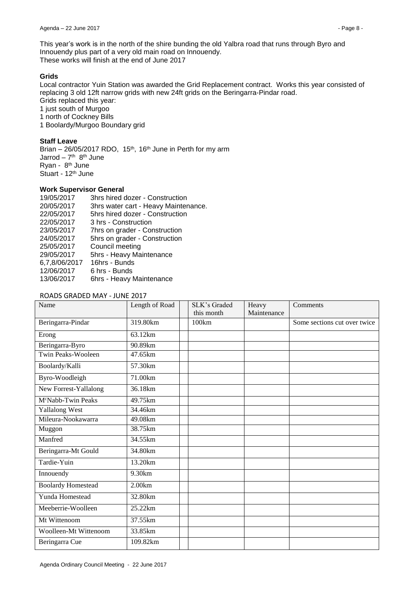This year's work is in the north of the shire bunding the old Yalbra road that runs through Byro and Innouendy plus part of a very old main road on Innouendy. These works will finish at the end of June 2017

### **Grids**

Local contractor Yuin Station was awarded the Grid Replacement contract. Works this year consisted of replacing 3 old 12ft narrow grids with new 24ft grids on the Beringarra-Pindar road. Grids replaced this year:

1 just south of Murgoo

1 north of Cockney Bills

1 Boolardy/Murgoo Boundary grid

# **Staff Leave**

Brian  $-26/05/2017$  RDO, 15<sup>th</sup>, 16<sup>th</sup> June in Perth for my arm Jarrod – 7<sup>th</sup> 8<sup>th</sup> June Ryan - 8<sup>th</sup> June Stuart - 12<sup>th</sup> June

# **Work Supervisor General**

19/05/2017 3hrs hired dozer - Construction 20/05/2017 3hrs water cart - Heavy Maintenance. 22/05/2017 5hrs hired dozer - Construction 22/05/2017 3 hrs - Construction 23/05/2017 7hrs on grader - Construction 24/05/2017 5hrs on grader - Construction 25/05/2017 Council meeting 29/05/2017 5hrs - Heavy Maintenance 6,7,8/06/2017 16hrs - Bunds 12/06/2017 6 hrs - Bunds 13/06/2017 6hrs - Heavy Maintenance

#### ROADS GRADED MAY - JUNE 2017

| Name                           | Length of Road | SLK's Graded<br>this month | Heavy<br>Maintenance | Comments                     |
|--------------------------------|----------------|----------------------------|----------------------|------------------------------|
| Beringarra-Pindar              | 319.80km       | 100km                      |                      | Some sections cut over twice |
| Erong                          | 63.12km        |                            |                      |                              |
| Beringarra-Byro                | 90.89km        |                            |                      |                              |
| <b>Twin Peaks-Wooleen</b>      | 47.65km        |                            |                      |                              |
| Boolardy/Kalli                 | 57.30km        |                            |                      |                              |
| Byro-Woodleigh                 | 71.00km        |                            |                      |                              |
| New Forrest-Yallalong          | 36.18km        |                            |                      |                              |
| M <sup>c</sup> Nabb-Twin Peaks | 49.75km        |                            |                      |                              |
| <b>Yallalong West</b>          | 34.46km        |                            |                      |                              |
| Mileura-Nookawarra             | 49.08km        |                            |                      |                              |
| Muggon                         | 38.75km        |                            |                      |                              |
| Manfred                        | 34.55km        |                            |                      |                              |
| Beringarra-Mt Gould            | 34.80km        |                            |                      |                              |
| Tardie-Yuin                    | 13.20km        |                            |                      |                              |
| Innouendy                      | 9.30km         |                            |                      |                              |
| <b>Boolardy Homestead</b>      | 2.00km         |                            |                      |                              |
| Yunda Homestead                | 32.80km        |                            |                      |                              |
| Meeberrie-Woolleen             | 25.22km        |                            |                      |                              |
| Mt Wittenoom                   | 37.55km        |                            |                      |                              |
| Woolleen-Mt Wittenoom          | 33.85km        |                            |                      |                              |
| Beringarra Cue                 | 109.82km       |                            |                      |                              |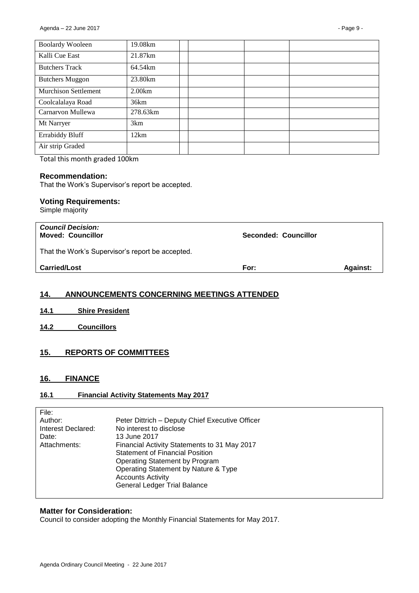| <b>Boolardy Wooleen</b>     | 19.08km  |  |  |
|-----------------------------|----------|--|--|
| Kalli Cue East              | 21.87km  |  |  |
| <b>Butchers Track</b>       | 64.54km  |  |  |
| <b>Butchers Muggon</b>      | 23.80km  |  |  |
| <b>Murchison Settlement</b> | 2.00km   |  |  |
| Coolcalalaya Road           | 36km     |  |  |
| Carnarvon Mullewa           | 278.63km |  |  |
| Mt Narryer                  | 3km      |  |  |
| <b>Errabiddy Bluff</b>      | 12km     |  |  |
| Air strip Graded            |          |  |  |

Total this month graded 100km

#### **Recommendation:**

That the Work's Supervisor's report be accepted.

#### **Voting Requirements:**

Simple majority

| <b>Council Decision:</b><br><b>Moved: Councillor</b> | Seconded: Councillor |                 |
|------------------------------------------------------|----------------------|-----------------|
| That the Work's Supervisor's report be accepted.     |                      |                 |
| <b>Carried/Lost</b>                                  | For:                 | <b>Against:</b> |
|                                                      |                      |                 |

# <span id="page-8-0"></span>**14. ANNOUNCEMENTS CONCERNING MEETINGS ATTENDED**

- <span id="page-8-1"></span>**14.1 Shire President**
- <span id="page-8-2"></span>**14.2 Councillors**

# <span id="page-8-3"></span>**15. REPORTS OF COMMITTEES**

# <span id="page-8-4"></span>**16. FINANCE**

# <span id="page-8-5"></span>**16.1 Financial Activity Statements May 2017**

| File:              |                                                 |
|--------------------|-------------------------------------------------|
| Author:            | Peter Dittrich - Deputy Chief Executive Officer |
| Interest Declared: | No interest to disclose                         |
| Date:              | 13 June 2017                                    |
| Attachments:       | Financial Activity Statements to 31 May 2017    |
|                    | <b>Statement of Financial Position</b>          |
|                    | Operating Statement by Program                  |
|                    | Operating Statement by Nature & Type            |
|                    | <b>Accounts Activity</b>                        |
|                    | <b>General Ledger Trial Balance</b>             |
|                    |                                                 |

#### **Matter for Consideration:**

Council to consider adopting the Monthly Financial Statements for May 2017.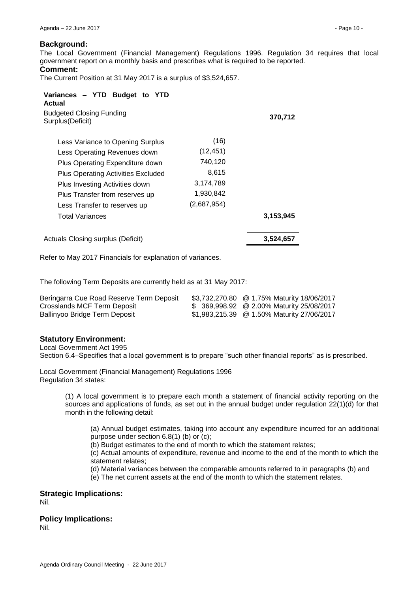#### **Background:**

The Local Government (Financial Management) Regulations 1996. Regulation 34 requires that local government report on a monthly basis and prescribes what is required to be reported.

#### **Comment:**

The Current Position at 31 May 2017 is a surplus of \$3,524,657.

| Variances - YTD Budget to YTD<br>Actual             |             |           |
|-----------------------------------------------------|-------------|-----------|
| <b>Budgeted Closing Funding</b><br>Surplus(Deficit) |             | 370,712   |
| Less Variance to Opening Surplus                    | (16)        |           |
| Less Operating Revenues down                        | (12, 451)   |           |
| Plus Operating Expenditure down                     | 740,120     |           |
| <b>Plus Operating Activities Excluded</b>           | 8,615       |           |
| Plus Investing Activities down                      | 3,174,789   |           |
| Plus Transfer from reserves up                      | 1,930,842   |           |
| Less Transfer to reserves up                        | (2,687,954) |           |
| Total Variances                                     |             | 3,153,945 |
| Actuals Closing surplus (Deficit)                   |             | 3,524,657 |

Refer to May 2017 Financials for explanation of variances.

The following Term Deposits are currently held as at 31 May 2017:

| Beringarra Cue Road Reserve Term Deposit | \$3,732,270.80 @ 1.75% Maturity 18/06/2017 |
|------------------------------------------|--------------------------------------------|
| Crosslands MCF Term Deposit              | \$ 369,998.92 @ 2.00% Maturity 25/08/2017  |
| Ballinyoo Bridge Term Deposit            | \$1,983,215.39 @ 1.50% Maturity 27/06/2017 |

#### **Statutory Environment:**

Local Government Act 1995

Section 6.4–Specifies that a local government is to prepare "such other financial reports" as is prescribed.

Local Government (Financial Management) Regulations 1996 Regulation 34 states:

> (1) A local government is to prepare each month a statement of financial activity reporting on the sources and applications of funds, as set out in the annual budget under regulation 22(1)(d) for that month in the following detail:

(a) Annual budget estimates, taking into account any expenditure incurred for an additional purpose under section 6.8(1) (b) or (c);

(b) Budget estimates to the end of month to which the statement relates;

(c) Actual amounts of expenditure, revenue and income to the end of the month to which the statement relates;

(d) Material variances between the comparable amounts referred to in paragraphs (b) and (e) The net current assets at the end of the month to which the statement relates.

#### **Strategic Implications:**

Nil.

#### **Policy Implications:**

Nil.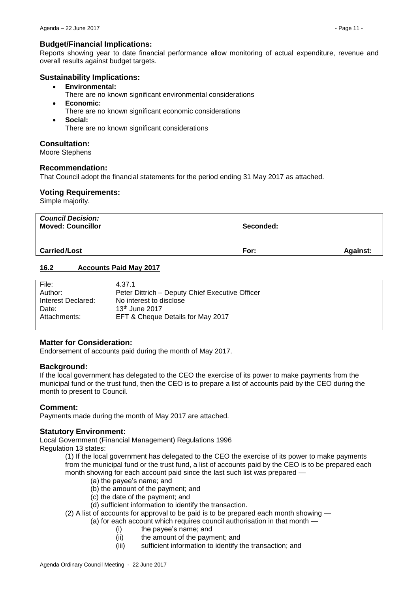# **Budget/Financial Implications:**

Reports showing year to date financial performance allow monitoring of actual expenditure, revenue and overall results against budget targets.

# **Sustainability Implications:**

- **Environmental:**
	- There are no known significant environmental considerations
- **Economic:**
	- There are no known significant economic considerations
- **Social:**
	- There are no known significant considerations

# **Consultation:**

Moore Stephens

# **Recommendation:**

That Council adopt the financial statements for the period ending 31 May 2017 as attached.

# **Voting Requirements:**

Simple majority.

| <b>Council Decision:</b><br><b>Moved: Councillor</b> | Seconded: |                 |
|------------------------------------------------------|-----------|-----------------|
| <b>Carried/Lost</b>                                  | For:      | <b>Against:</b> |

# <span id="page-10-0"></span>**16.2 Accounts Paid May 2017**

| File:              | 4.37.1                                          |
|--------------------|-------------------------------------------------|
| Author:            | Peter Dittrich – Deputy Chief Executive Officer |
| Interest Declared: | No interest to disclose                         |
| Date:              | $13th$ June 2017                                |
| Attachments:       | EFT & Cheque Details for May 2017               |
|                    |                                                 |

# **Matter for Consideration:**

Endorsement of accounts paid during the month of May 2017.

# **Background:**

If the local government has delegated to the CEO the exercise of its power to make payments from the municipal fund or the trust fund, then the CEO is to prepare a list of accounts paid by the CEO during the month to present to Council.

# **Comment:**

Payments made during the month of May 2017 are attached.

# **Statutory Environment:**

Local Government (Financial Management) Regulations 1996

Regulation 13 states:

(1) If the local government has delegated to the CEO the exercise of its power to make payments from the municipal fund or the trust fund, a list of accounts paid by the CEO is to be prepared each month showing for each account paid since the last such list was prepared -

- (a) the payee's name; and
- (b) the amount of the payment; and
- (c) the date of the payment; and
- (d) sufficient information to identify the transaction.
- (2) A list of accounts for approval to be paid is to be prepared each month showing
	- (a) for each account which requires council authorisation in that month
		- (i) the payee's name; and
		- (ii) the amount of the payment; and
		- (iii) sufficient information to identify the transaction; and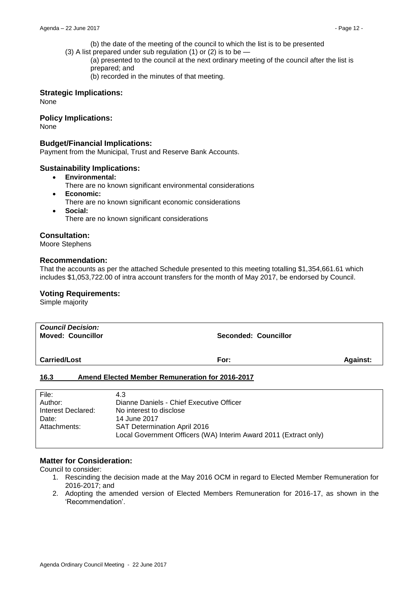- (b) the date of the meeting of the council to which the list is to be presented
- (3) A list prepared under sub regulation (1) or (2) is to be —

(a) presented to the council at the next ordinary meeting of the council after the list is prepared; and

(b) recorded in the minutes of that meeting.

#### **Strategic Implications:**

None

# **Policy Implications:**

None

### **Budget/Financial Implications:**

Payment from the Municipal, Trust and Reserve Bank Accounts.

#### **Sustainability Implications:**

- **Environmental:**
	- There are no known significant environmental considerations
- **Economic:**
	- There are no known significant economic considerations
- **Social:** There are no known significant considerations

# **Consultation:**

Moore Stephens

#### **Recommendation:**

That the accounts as per the attached Schedule presented to this meeting totalling \$1,354,661.61 which includes \$1,053,722.00 of intra account transfers for the month of May 2017, be endorsed by Council.

# **Voting Requirements:**

Simple majority

| <b>Council Decision:</b><br><b>Moved: Councillor</b>           | Seconded: Councillor |                 |
|----------------------------------------------------------------|----------------------|-----------------|
| <b>Carried/Lost</b>                                            | For:                 | <b>Against:</b> |
| 16.3<br><b>Amend Elected Member Remuneration for 2016-2017</b> |                      |                 |
|                                                                |                      |                 |

<span id="page-11-0"></span>

| File:              | 4.3                                                              |
|--------------------|------------------------------------------------------------------|
| Author:            | Dianne Daniels - Chief Executive Officer                         |
| Interest Declared: | No interest to disclose                                          |
| Date:              | 14 June 2017                                                     |
| Attachments:       | <b>SAT Determination April 2016</b>                              |
|                    | Local Government Officers (WA) Interim Award 2011 (Extract only) |
|                    |                                                                  |

### **Matter for Consideration:**

Council to consider:

- 1. Rescinding the decision made at the May 2016 OCM in regard to Elected Member Remuneration for 2016-2017; and
- 2. Adopting the amended version of Elected Members Remuneration for 2016-17, as shown in the 'Recommendation'.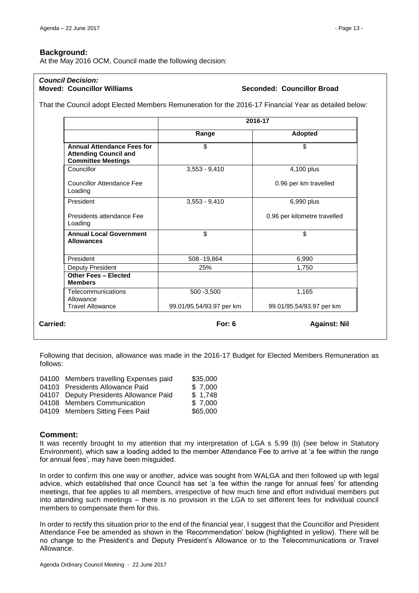At the May 2016 OCM, Council made the following decision:

# *Council Decision:*

### **Seconded: Councillor Broad**

That the Council adopt Elected Members Remuneration for the 2016-17 Financial Year as detailed below:

|                                                                                                | 2016-17                  |                              |
|------------------------------------------------------------------------------------------------|--------------------------|------------------------------|
|                                                                                                | Range                    | Adopted                      |
| <b>Annual Attendance Fees for</b><br><b>Attending Council and</b><br><b>Committee Meetings</b> | \$                       | \$                           |
| Councillor                                                                                     | $3,553 - 9,410$          | 4,100 plus                   |
| <b>Councillor Attendance Fee</b><br>Loading                                                    |                          | 0.96 per km travelled        |
| President                                                                                      | $3,553 - 9,410$          | 6,990 plus                   |
| Presidents attendance Fee<br>Loading                                                           |                          | 0.96 per kilometre travelled |
| <b>Annual Local Government</b><br><b>Allowances</b>                                            | \$                       | \$                           |
| President                                                                                      | 508 - 19,864             | 6,990                        |
| Deputy President                                                                               | 25%                      | 1,750                        |
| <b>Other Fees - Elected</b><br><b>Members</b>                                                  |                          |                              |
| Telecommunications<br>Allowance                                                                | 500 - 3,500              | 1,165                        |
|                                                                                                | 99.01/95.54/93.97 per km | 99.01/95.54/93.97 per km     |

Following that decision, allowance was made in the 2016-17 Budget for Elected Members Remuneration as follows:

| 04100 Members travelling Expenses paid | \$35,000 |
|----------------------------------------|----------|
| 04103 Presidents Allowance Paid        | \$7,000  |
| 04107 Deputy Presidents Allowance Paid | \$1,748  |
| 04108 Members Communication            | \$7,000  |
| 04109 Members Sitting Fees Paid        | \$65,000 |

#### **Comment:**

It was recently brought to my attention that my interpretation of LGA s 5.99 (b) (see below in Statutory Environment), which saw a loading added to the member Attendance Fee to arrive at 'a fee within the range for annual fees', may have been misguided.

In order to confirm this one way or another, advice was sought from WALGA and then followed up with legal advice, which established that once Council has set 'a fee within the range for annual fees' for attending meetings, that fee applies to all members, irrespective of how much time and effort individual members put into attending such meetings – there is no provision in the LGA to set different fees for individual council members to compensate them for this.

In order to rectify this situation prior to the end of the financial year, I suggest that the Councillor and President Attendance Fee be amended as shown in the 'Recommendation' below (highlighted in yellow). There will be no change to the President's and Deputy President's Allowance or to the Telecommunications or Travel Allowance.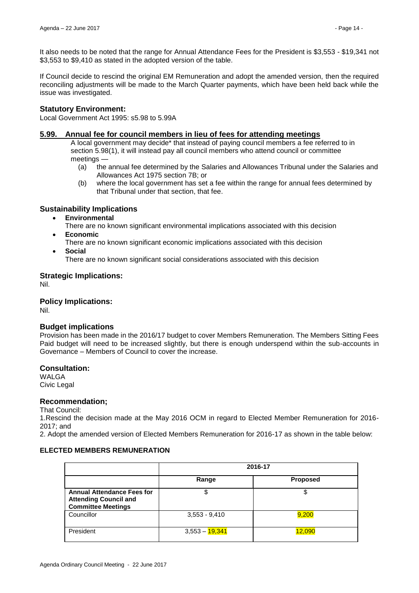It also needs to be noted that the range for Annual Attendance Fees for the President is \$3,553 - \$19,341 not \$3,553 to \$9,410 as stated in the adopted version of the table.

If Council decide to rescind the original EM Remuneration and adopt the amended version, then the required reconciling adjustments will be made to the March Quarter payments, which have been held back while the issue was investigated.

### **Statutory Environment:**

Local Government Act 1995: s5.98 to 5.99A

### **5.99. Annual fee for council members in lieu of fees for attending meetings**

A local government may decide\* that instead of paying council members a fee referred to in section 5.98(1), it will instead pay all council members who attend council or committee meetings —

- (a) the annual fee determined by the Salaries and Allowances Tribunal under the Salaries and Allowances Act 1975 section 7B; or
- (b) where the local government has set a fee within the range for annual fees determined by that Tribunal under that section, that fee.

# **Sustainability Implications**

- **Environmental**
	- There are no known significant environmental implications associated with this decision **Economic**
	- There are no known significant economic implications associated with this decision
- **Social**

There are no known significant social considerations associated with this decision

# **Strategic Implications:**

Nil.

**Policy Implications:**

Nil.

# **Budget implications**

Provision has been made in the 2016/17 budget to cover Members Remuneration. The Members Sitting Fees Paid budget will need to be increased slightly, but there is enough underspend within the sub-accounts in Governance – Members of Council to cover the increase.

#### **Consultation:**

WALGA Civic Legal

#### **Recommendation;**

That Council:

1.Rescind the decision made at the May 2016 OCM in regard to Elected Member Remuneration for 2016- 2017; and

2. Adopt the amended version of Elected Members Remuneration for 2016-17 as shown in the table below:

#### **ELECTED MEMBERS REMUNERATION**

|                                                                                                | 2016-17                     |                 |
|------------------------------------------------------------------------------------------------|-----------------------------|-----------------|
|                                                                                                | Range                       | <b>Proposed</b> |
| <b>Annual Attendance Fees for</b><br><b>Attending Council and</b><br><b>Committee Meetings</b> | \$                          |                 |
| Councillor                                                                                     | $3,553 - 9,410$             | 9,200           |
| President                                                                                      | 3,553 – <mark>19,341</mark> | 12,090          |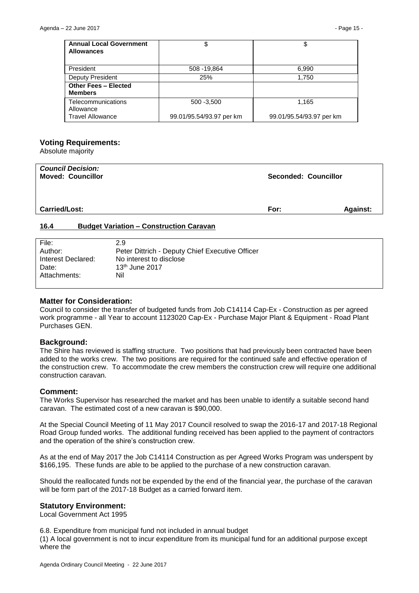| <b>Annual Local Government</b><br><b>Allowances</b> | \$                       |                          |
|-----------------------------------------------------|--------------------------|--------------------------|
| President                                           | 508 - 19,864             | 6,990                    |
| Deputy President                                    | 25%                      | 1.750                    |
| <b>Other Fees - Elected</b><br><b>Members</b>       |                          |                          |
| Telecommunications<br>Allowance                     | $500 - 3,500$            | 1,165                    |
| <b>Travel Allowance</b>                             | 99.01/95.54/93.97 per km | 99.01/95.54/93.97 per km |

#### **Voting Requirements:**

Absolute majority

| <b>Council Decision:</b><br><b>Moved: Councillor</b>   | Seconded: Councillor |                 |
|--------------------------------------------------------|----------------------|-----------------|
| <b>Carried/Lost:</b>                                   | For:                 | <b>Against:</b> |
| 16.4<br><b>Budget Variation - Construction Caravan</b> |                      |                 |

#### <span id="page-14-0"></span>File: 2.9 Author: Peter Dittrich - Deputy Chief Executive Officer Interest Declared: No interest to disclose Date: 13<sup>th</sup> June 2017 Attachments: Nil

#### **Matter for Consideration:**

Council to consider the transfer of budgeted funds from Job C14114 Cap-Ex - Construction as per agreed work programme - all Year to account 1123020 Cap-Ex - Purchase Major Plant & Equipment - Road Plant Purchases GEN.

#### **Background:**

The Shire has reviewed is staffing structure. Two positions that had previously been contracted have been added to the works crew. The two positions are required for the continued safe and effective operation of the construction crew. To accommodate the crew members the construction crew will require one additional construction caravan.

#### **Comment:**

The Works Supervisor has researched the market and has been unable to identify a suitable second hand caravan. The estimated cost of a new caravan is \$90,000.

At the Special Council Meeting of 11 May 2017 Council resolved to swap the 2016-17 and 2017-18 Regional Road Group funded works. The additional funding received has been applied to the payment of contractors and the operation of the shire's construction crew.

As at the end of May 2017 the Job C14114 Construction as per Agreed Works Program was underspent by \$166,195. These funds are able to be applied to the purchase of a new construction caravan.

Should the reallocated funds not be expended by the end of the financial year, the purchase of the caravan will be form part of the 2017-18 Budget as a carried forward item.

#### **Statutory Environment:**

Local Government Act 1995

6.8. Expenditure from municipal fund not included in annual budget

(1) A local government is not to incur expenditure from its municipal fund for an additional purpose except where the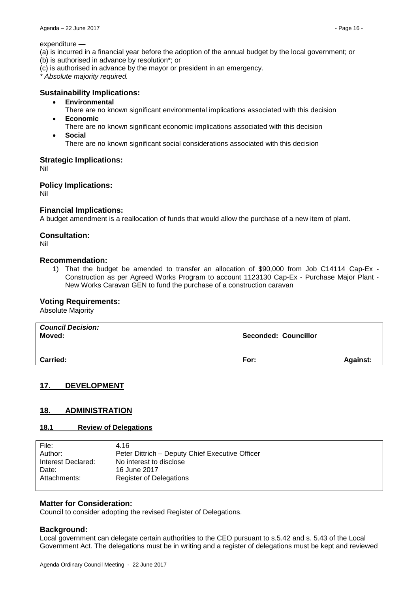#### expenditure —

- (a) is incurred in a financial year before the adoption of the annual budget by the local government; or
- (b) is authorised in advance by resolution\*; or
- (c) is authorised in advance by the mayor or president in an emergency.

*\* Absolute majority required.*

# **Sustainability Implications:**

- **Environmental**
- There are no known significant environmental implications associated with this decision **Economic**
- There are no known significant economic implications associated with this decision **Social**
	- There are no known significant social considerations associated with this decision

#### **Strategic Implications:**

Nil

#### **Policy Implications:**

Nil

# **Financial Implications:**

A budget amendment is a reallocation of funds that would allow the purchase of a new item of plant.

# **Consultation:**

Nil

#### **Recommendation:**

1) That the budget be amended to transfer an allocation of \$90,000 from Job C14114 Cap-Ex - Construction as per Agreed Works Program to account 1123130 Cap-Ex - Purchase Major Plant - New Works Caravan GEN to fund the purchase of a construction caravan

#### **Voting Requirements:**

Absolute Majority

| <b>Council Decision:</b><br>Moved: | <b>Seconded: Councillor</b> |                 |
|------------------------------------|-----------------------------|-----------------|
| <b>Carried:</b>                    | For:                        | <b>Against:</b> |

# <span id="page-15-0"></span>**17. DEVELOPMENT**

#### <span id="page-15-1"></span>**18. ADMINISTRATION**

#### <span id="page-15-2"></span>**18.1 Review of Delegations**

| File:              | 4.16                                            |
|--------------------|-------------------------------------------------|
| Author:            | Peter Dittrich - Deputy Chief Executive Officer |
| Interest Declared: | No interest to disclose                         |
| Date:              | 16 June 2017                                    |
| Attachments:       | <b>Register of Delegations</b>                  |
|                    |                                                 |

#### **Matter for Consideration:**

Council to consider adopting the revised Register of Delegations.

#### **Background:**

Local government can delegate certain authorities to the CEO pursuant to s.5.42 and s. 5.43 of the Local Government Act. The delegations must be in writing and a register of delegations must be kept and reviewed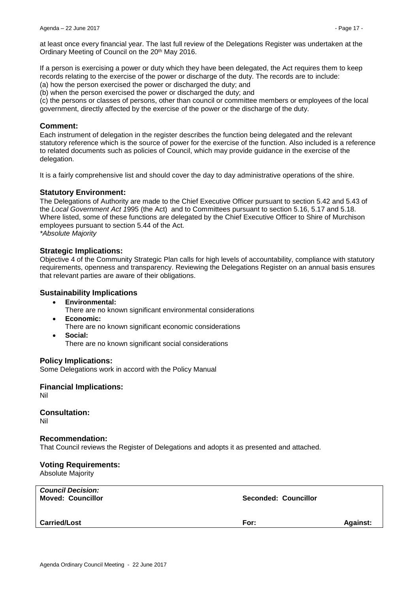at least once every financial year. The last full review of the Delegations Register was undertaken at the Ordinary Meeting of Council on the 20th May 2016.

If a person is exercising a power or duty which they have been delegated, the Act requires them to keep records relating to the exercise of the power or discharge of the duty. The records are to include:

(a) how the person exercised the power or discharged the duty; and

(b) when the person exercised the power or discharged the duty; and

(c) the persons or classes of persons, other than council or committee members or employees of the local government, directly affected by the exercise of the power or the discharge of the duty.

#### **Comment:**

Each instrument of delegation in the register describes the function being delegated and the relevant statutory reference which is the source of power for the exercise of the function. Also included is a reference to related documents such as policies of Council, which may provide guidance in the exercise of the delegation.

It is a fairly comprehensive list and should cover the day to day administrative operations of the shire.

#### **Statutory Environment:**

The Delegations of Authority are made to the Chief Executive Officer pursuant to section 5.42 and 5.43 of the *Local Government Act 1*995 (the Act) and to Committees pursuant to section 5.16, 5.17 and 5.18. Where listed, some of these functions are delegated by the Chief Executive Officer to Shire of Murchison employees pursuant to section 5.44 of the Act. *\*Absolute Majority* 

#### **Strategic Implications:**

Objective 4 of the Community Strategic Plan calls for high levels of accountability, compliance with statutory requirements, openness and transparency. Reviewing the Delegations Register on an annual basis ensures that relevant parties are aware of their obligations.

### **Sustainability Implications**

- **Environmental:**
	- There are no known significant environmental considerations
- **Economic:**
- There are no known significant economic considerations
- **Social:** There are no known significant social considerations

#### **Policy Implications:**

Some Delegations work in accord with the Policy Manual

**Financial Implications:** Nil

**Consultation:**

Nil

#### **Recommendation:**

That Council reviews the Register of Delegations and adopts it as presented and attached.

#### **Voting Requirements:**

Absolute Majority

| <b>Council Decision:</b><br><b>Moved: Councillor</b> | Seconded: Councillor |                 |
|------------------------------------------------------|----------------------|-----------------|
| <b>Carried/Lost</b>                                  | For:                 | <b>Against:</b> |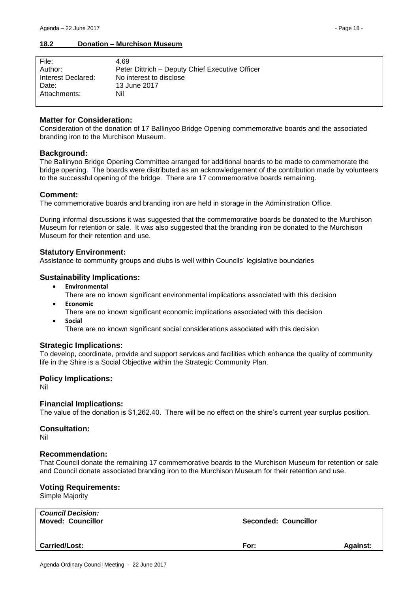#### <span id="page-17-0"></span>**18.2 Donation – Murchison Museum**

| File:              | 4.69                                            |
|--------------------|-------------------------------------------------|
| Author:            | Peter Dittrich - Deputy Chief Executive Officer |
| Interest Declared: | No interest to disclose                         |
| Date:              | 13 June 2017                                    |
| Attachments:       | Nil                                             |
|                    |                                                 |

#### **Matter for Consideration:**

Consideration of the donation of 17 Ballinyoo Bridge Opening commemorative boards and the associated branding iron to the Murchison Museum.

#### **Background:**

The Ballinyoo Bridge Opening Committee arranged for additional boards to be made to commemorate the bridge opening. The boards were distributed as an acknowledgement of the contribution made by volunteers to the successful opening of the bridge. There are 17 commemorative boards remaining.

#### **Comment:**

The commemorative boards and branding iron are held in storage in the Administration Office.

During informal discussions it was suggested that the commemorative boards be donated to the Murchison Museum for retention or sale. It was also suggested that the branding iron be donated to the Murchison Museum for their retention and use.

#### **Statutory Environment:**

Assistance to community groups and clubs is well within Councils' legislative boundaries

#### **Sustainability Implications:**

- **Environmental**
	- There are no known significant environmental implications associated with this decision
- **Economic**
	- There are no known significant economic implications associated with this decision
- **social** 
	- There are no known significant social considerations associated with this decision

#### **Strategic Implications:**

To develop, coordinate, provide and support services and facilities which enhance the quality of community life in the Shire is a Social Objective within the Strategic Community Plan.

#### **Policy Implications:**

Nil

#### **Financial Implications:**

The value of the donation is \$1,262.40. There will be no effect on the shire's current year surplus position.

#### **Consultation:**

Nil

#### **Recommendation:**

That Council donate the remaining 17 commemorative boards to the Murchison Museum for retention or sale and Council donate associated branding iron to the Murchison Museum for their retention and use.

#### **Voting Requirements:**

Simple Majority

| <b>Council Decision:</b><br><b>Moved: Councillor</b> | <b>Seconded: Councillor</b> |                 |
|------------------------------------------------------|-----------------------------|-----------------|
| <b>Carried/Lost:</b>                                 | For:                        | <b>Against:</b> |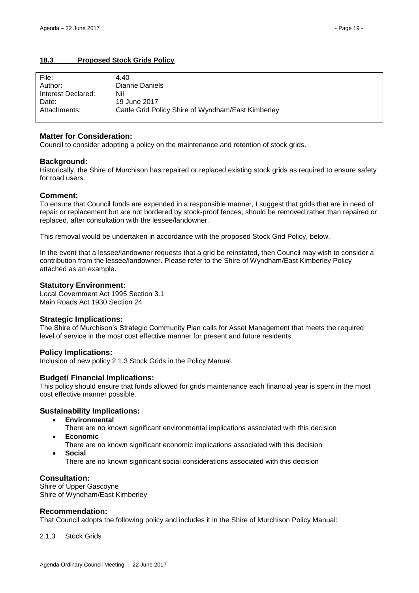# <span id="page-18-0"></span>**18.3 Proposed Stock Grids Policy**

| File:              | 4.40                                               |
|--------------------|----------------------------------------------------|
| Author:            | Dianne Daniels                                     |
| Interest Declared: | Nil                                                |
| Date:              | 19 June 2017                                       |
| Attachments:       | Cattle Grid Policy Shire of Wyndham/East Kimberley |
|                    |                                                    |

#### **Matter for Consideration:**

Council to consider adopting a policy on the maintenance and retention of stock grids.

#### **Background:**

Historically, the Shire of Murchison has repaired or replaced existing stock grids as required to ensure safety for road users.

#### **Comment:**

To ensure that Council funds are expended in a responsible manner, I suggest that grids that are in need of repair or replacement but are not bordered by stock-proof fences, should be removed rather than repaired or replaced, after consultation with the lessee/landowner.

This removal would be undertaken in accordance with the proposed Stock Grid Policy, below.

In the event that a lessee/landowner requests that a grid be reinstated, then Council may wish to consider a contribution from the lessee/landowner. Please refer to the Shire of Wyndham/East Kimberley Policy attached as an example.

#### **Statutory Environment:**

Local Government Act 1995 Section 3.1 Main Roads Act 1930 Section 24

#### **Strategic Implications:**

The Shire of Murchison's Strategic Community Plan calls for Asset Management that meets the required level of service in the most cost effective manner for present and future residents.

#### **Policy Implications:**

Inclusion of new policy 2.1.3 Stock Grids in the Policy Manual.

#### **Budget/ Financial Implications:**

This policy should ensure that funds allowed for grids maintenance each financial year is spent in the most cost effective manner possible.

#### **Sustainability Implications:**

- **Environmental**
	- There are no known significant environmental implications associated with this decision
- **Economic**
	- There are no known significant economic implications associated with this decision
- **Social**

There are no known significant social considerations associated with this decision

#### **Consultation:**

Shire of Upper Gascoyne Shire of Wyndham/East Kimberley

#### **Recommendation:**

That Council adopts the following policy and includes it in the Shire of Murchison Policy Manual:

2.1.3 Stock Grids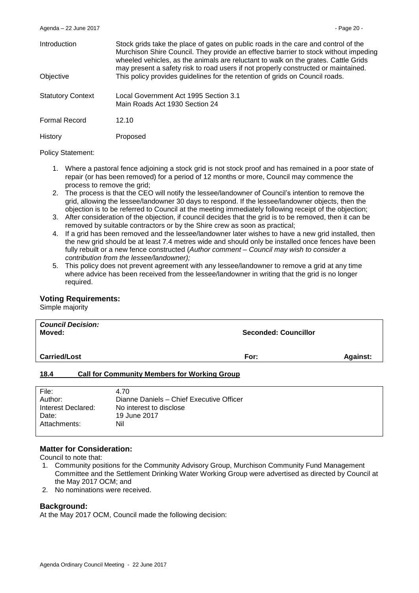| <b>Introduction</b>      | Stock grids take the place of gates on public roads in the care and control of the<br>Murchison Shire Council. They provide an effective barrier to stock without impeding<br>wheeled vehicles, as the animals are reluctant to walk on the grates. Cattle Grids<br>may present a safety risk to road users if not properly constructed or maintained. |
|--------------------------|--------------------------------------------------------------------------------------------------------------------------------------------------------------------------------------------------------------------------------------------------------------------------------------------------------------------------------------------------------|
| Objective                | This policy provides guidelines for the retention of grids on Council roads.                                                                                                                                                                                                                                                                           |
| <b>Statutory Context</b> | Local Government Act 1995 Section 3.1<br>Main Roads Act 1930 Section 24                                                                                                                                                                                                                                                                                |
| <b>Formal Record</b>     | 12.10                                                                                                                                                                                                                                                                                                                                                  |
| History                  | Proposed                                                                                                                                                                                                                                                                                                                                               |

Policy Statement:

- 1. Where a pastoral fence adjoining a stock grid is not stock proof and has remained in a poor state of repair (or has been removed) for a period of 12 months or more, Council may commence the process to remove the grid;
- 2. The process is that the CEO will notify the lessee/landowner of Council's intention to remove the grid, allowing the lessee/landowner 30 days to respond. If the lessee/landowner objects, then the objection is to be referred to Council at the meeting immediately following receipt of the objection;
- 3. After consideration of the objection, if council decides that the grid is to be removed, then it can be removed by suitable contractors or by the Shire crew as soon as practical;
- 4. If a grid has been removed and the lessee/landowner later wishes to have a new grid installed, then the new grid should be at least 7.4 metres wide and should only be installed once fences have been fully rebuilt or a new fence constructed (*Author comment – Council may wish to consider a contribution from the lessee/landowner);*
- 5. This policy does not prevent agreement with any lessee/landowner to remove a grid at any time where advice has been received from the lessee/landowner in writing that the grid is no longer required.

#### **Voting Requirements:**

Simple majority

| <b>Council Decision:</b><br>Moved: |                                                     | <b>Seconded: Councillor</b> |                 |
|------------------------------------|-----------------------------------------------------|-----------------------------|-----------------|
| <b>Carried/Lost</b>                |                                                     | For:                        | <b>Against:</b> |
| 18.4                               | <b>Call for Community Members for Working Group</b> |                             |                 |

<span id="page-19-0"></span>

| File:              | 4.70                                     |
|--------------------|------------------------------------------|
| Author:            | Dianne Daniels - Chief Executive Officer |
| Interest Declared: | No interest to disclose                  |
| Date:              | 19 June 2017                             |
| Attachments:       | Nil                                      |
|                    |                                          |

#### **Matter for Consideration:**

Council to note that:

- 1. Community positions for the Community Advisory Group, Murchison Community Fund Management Committee and the Settlement Drinking Water Working Group were advertised as directed by Council at the May 2017 OCM; and
- 2. No nominations were received.

#### **Background:**

At the May 2017 OCM, Council made the following decision: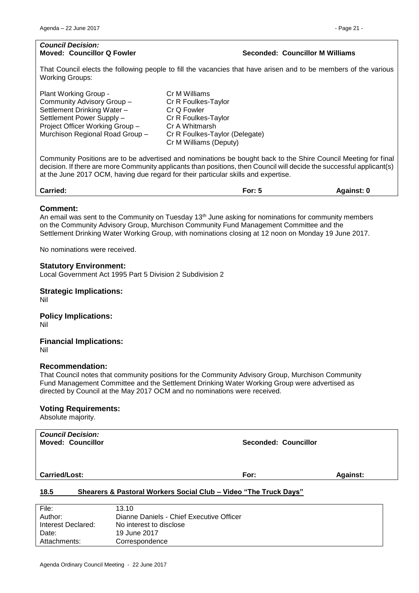# **Moved: Councillor Q Fowler Seconded: Councillor M Williams**

That Council elects the following people to fill the vacancies that have arisen and to be members of the various Working Groups:

| Plant Working Group -           | Cr M Williams                  |
|---------------------------------|--------------------------------|
| Community Advisory Group -      | Cr R Foulkes-Taylor            |
| Settlement Drinking Water -     | Cr Q Fowler                    |
| Settlement Power Supply -       | Cr R Foulkes-Taylor            |
| Project Officer Working Group - | Cr A Whitmarsh                 |
| Murchison Regional Road Group - | Cr R Foulkes-Taylor (Delegate) |
|                                 | Cr M Williams (Deputy)         |
|                                 |                                |

Community Positions are to be advertised and nominations be bought back to the Shire Council Meeting for final decision. If there are more Community applicants than positions, then Council will decide the successful applicant(s) at the June 2017 OCM, having due regard for their particular skills and expertise.

| <b>Carried:</b> | -<br>or: 5· | Aɑainst: |
|-----------------|-------------|----------|
|                 |             |          |

#### **Comment:**

An email was sent to the Community on Tuesday  $13<sup>th</sup>$  June asking for nominations for community members on the Community Advisory Group, Murchison Community Fund Management Committee and the Settlement Drinking Water Working Group, with nominations closing at 12 noon on Monday 19 June 2017.

No nominations were received.

# **Statutory Environment:**

Local Government Act 1995 Part 5 Division 2 Subdivision 2

# **Strategic Implications:**

Nil

#### **Policy Implications:** Nil

**Financial Implications:** Nil

#### **Recommendation:**

That Council notes that community positions for the Community Advisory Group, Murchison Community Fund Management Committee and the Settlement Drinking Water Working Group were advertised as directed by Council at the May 2017 OCM and no nominations were received.

#### **Voting Requirements:**

Absolute majority.

| <b>Council Decision:</b><br><b>Moved: Councillor</b> | <b>Seconded: Councillor</b> |                 |
|------------------------------------------------------|-----------------------------|-----------------|
| <b>Carried/Lost:</b>                                 | For:                        | <b>Against:</b> |

# <span id="page-20-0"></span>**18.5 Shearers & Pastoral Workers Social Club – Video "The Truck Days"**

| File:              | 13.10                                    |
|--------------------|------------------------------------------|
| Author:            | Dianne Daniels - Chief Executive Officer |
| Interest Declared: | No interest to disclose                  |
| Date:              | 19 June 2017                             |
| Attachments:       | Correspondence                           |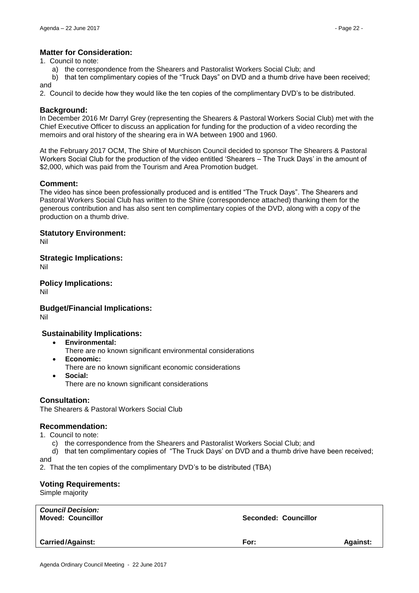# **Matter for Consideration:**

1. Council to note:

a) the correspondence from the Shearers and Pastoralist Workers Social Club; and

b) that ten complimentary copies of the "Truck Days" on DVD and a thumb drive have been received; and

2. Council to decide how they would like the ten copies of the complimentary DVD's to be distributed.

# **Background:**

In December 2016 Mr Darryl Grey (representing the Shearers & Pastoral Workers Social Club) met with the Chief Executive Officer to discuss an application for funding for the production of a video recording the memoirs and oral history of the shearing era in WA between 1900 and 1960.

At the February 2017 OCM, The Shire of Murchison Council decided to sponsor The Shearers & Pastoral Workers Social Club for the production of the video entitled 'Shearers – The Truck Days' in the amount of \$2,000, which was paid from the Tourism and Area Promotion budget.

# **Comment:**

The video has since been professionally produced and is entitled "The Truck Days". The Shearers and Pastoral Workers Social Club has written to the Shire (correspondence attached) thanking them for the generous contribution and has also sent ten complimentary copies of the DVD, along with a copy of the production on a thumb drive.

#### **Statutory Environment:**

Nil

**Strategic Implications:**

Nil

**Policy Implications:** Nil

**Budget/Financial Implications:**

Nil

# **Sustainability Implications:**

- **Environmental:**
	- There are no known significant environmental considerations
- **Economic:** There are no known significant economic considerations
- **Social:** There are no known significant considerations

# **Consultation:**

The Shearers & Pastoral Workers Social Club

#### **Recommendation:**

1. Council to note:

c) the correspondence from the Shearers and Pastoralist Workers Social Club; and

d) that ten complimentary copies of "The Truck Days' on DVD and a thumb drive have been received; and

2. That the ten copies of the complimentary DVD's to be distributed (TBA)

# **Voting Requirements:**

Simple majority

| <b>Council Decision:</b><br><b>Moved: Councillor</b> | <b>Seconded: Councillor</b> |                 |
|------------------------------------------------------|-----------------------------|-----------------|
| <b>Carried/Against:</b>                              | For:                        | <b>Against:</b> |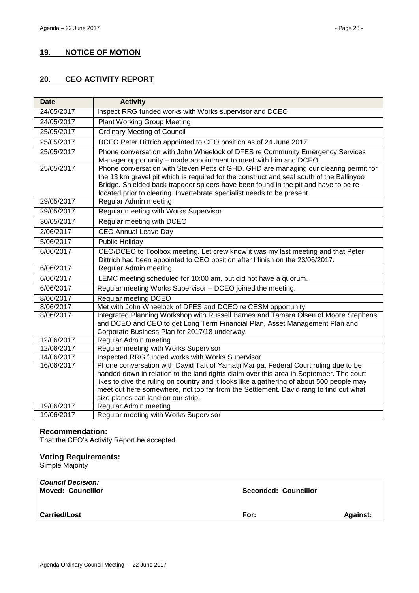# <span id="page-22-0"></span>**19. NOTICE OF MOTION**

# <span id="page-22-1"></span>**20. CEO ACTIVITY REPORT**

| <b>Date</b> | <b>Activity</b>                                                                                                                                                                                                                                                                                                                                      |
|-------------|------------------------------------------------------------------------------------------------------------------------------------------------------------------------------------------------------------------------------------------------------------------------------------------------------------------------------------------------------|
| 24/05/2017  | Inspect RRG funded works with Works supervisor and DCEO                                                                                                                                                                                                                                                                                              |
| 24/05/2017  | <b>Plant Working Group Meeting</b>                                                                                                                                                                                                                                                                                                                   |
| 25/05/2017  | <b>Ordinary Meeting of Council</b>                                                                                                                                                                                                                                                                                                                   |
| 25/05/2017  | DCEO Peter Dittrich appointed to CEO position as of 24 June 2017.                                                                                                                                                                                                                                                                                    |
| 25/05/2017  | Phone conversation with John Wheelock of DFES re Community Emergency Services<br>Manager opportunity - made appointment to meet with him and DCEO.                                                                                                                                                                                                   |
| 25/05/2017  | Phone conversation with Steven Petts of GHD. GHD are managing our clearing permit for<br>the 13 km gravel pit which is required for the construct and seal south of the Ballinyoo<br>Bridge. Shielded back trapdoor spiders have been found in the pit and have to be re-<br>located prior to clearing. Invertebrate specialist needs to be present. |
| 29/05/2017  | Regular Admin meeting                                                                                                                                                                                                                                                                                                                                |
| 29/05/2017  | Regular meeting with Works Supervisor                                                                                                                                                                                                                                                                                                                |
| 30/05/2017  | Regular meeting with DCEO                                                                                                                                                                                                                                                                                                                            |
| 2/06/2017   | <b>CEO Annual Leave Day</b>                                                                                                                                                                                                                                                                                                                          |
| 5/06/2017   | <b>Public Holiday</b>                                                                                                                                                                                                                                                                                                                                |
| 6/06/2017   | CEO/DCEO to Toolbox meeting. Let crew know it was my last meeting and that Peter<br>Dittrich had been appointed to CEO position after I finish on the 23/06/2017.                                                                                                                                                                                    |
| 6/06/2017   | Regular Admin meeting                                                                                                                                                                                                                                                                                                                                |
| 6/06/2017   | LEMC meeting scheduled for 10:00 am, but did not have a quorum.                                                                                                                                                                                                                                                                                      |
| 6/06/2017   | Regular meeting Works Supervisor - DCEO joined the meeting.                                                                                                                                                                                                                                                                                          |
| 8/06/2017   | Regular meeting DCEO                                                                                                                                                                                                                                                                                                                                 |
| 8/06/2017   | Met with John Wheelock of DFES and DCEO re CESM opportunity.                                                                                                                                                                                                                                                                                         |
| 8/06/2017   | Integrated Planning Workshop with Russell Barnes and Tamara Olsen of Moore Stephens<br>and DCEO and CEO to get Long Term Financial Plan, Asset Management Plan and<br>Corporate Business Plan for 2017/18 underway.                                                                                                                                  |
| 12/06/2017  | Regular Admin meeting                                                                                                                                                                                                                                                                                                                                |
| 12/06/2017  | Regular meeting with Works Supervisor                                                                                                                                                                                                                                                                                                                |
| 14/06/2017  | Inspected RRG funded works with Works Supervisor                                                                                                                                                                                                                                                                                                     |
| 16/06/2017  | Phone conversation with David Taft of Yamatji Marlpa. Federal Court ruling due to be                                                                                                                                                                                                                                                                 |
|             | handed down in relation to the land rights claim over this area in September. The court                                                                                                                                                                                                                                                              |
|             | likes to give the ruling on country and it looks like a gathering of about 500 people may                                                                                                                                                                                                                                                            |
|             | meet out here somewhere, not too far from the Settlement. David rang to find out what<br>size planes can land on our strip.                                                                                                                                                                                                                          |
| 19/06/2017  | <b>Regular Admin meeting</b>                                                                                                                                                                                                                                                                                                                         |
| 19/06/2017  | Regular meeting with Works Supervisor                                                                                                                                                                                                                                                                                                                |
|             |                                                                                                                                                                                                                                                                                                                                                      |

### **Recommendation:**

That the CEO's Activity Report be accepted.

# **Voting Requirements:**

Simple Majority

| <b>Council Decision:</b><br><b>Moved: Councillor</b> | <b>Seconded: Councillor</b> |                 |
|------------------------------------------------------|-----------------------------|-----------------|
| <b>Carried/Lost</b>                                  | For:                        | <b>Against:</b> |